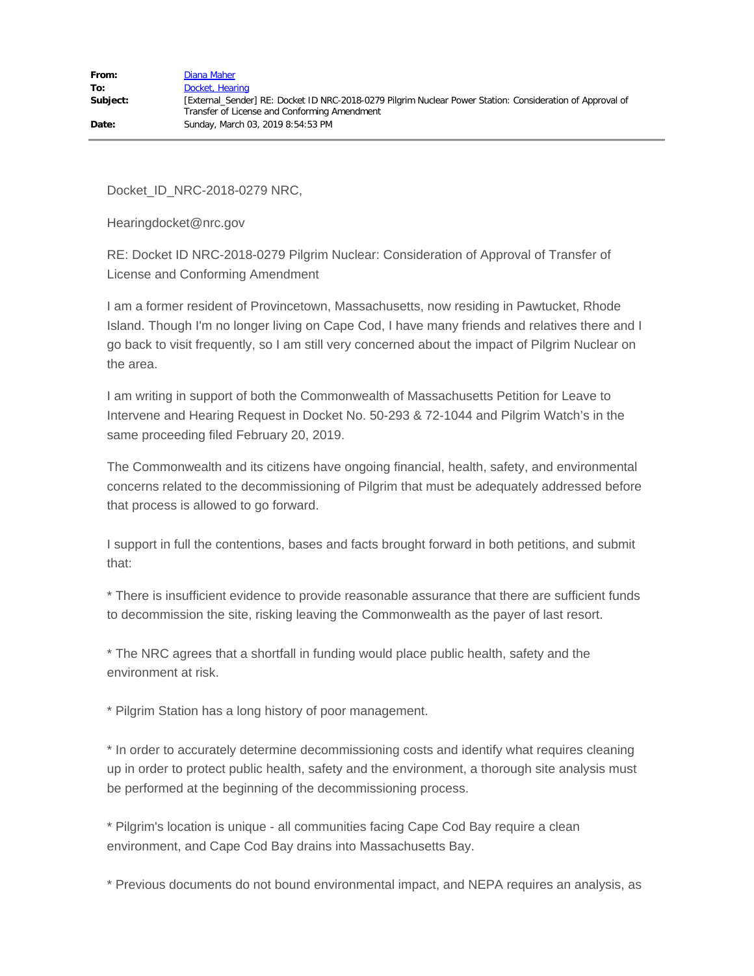Docket\_ID\_NRC-2018-0279 NRC,

Hearingdocket@nrc.gov

RE: Docket ID NRC-2018-0279 Pilgrim Nuclear: Consideration of Approval of Transfer of License and Conforming Amendment

I am a former resident of Provincetown, Massachusetts, now residing in Pawtucket, Rhode Island. Though I'm no longer living on Cape Cod, I have many friends and relatives there and I go back to visit frequently, so I am still very concerned about the impact of Pilgrim Nuclear on the area.

I am writing in support of both the Commonwealth of Massachusetts Petition for Leave to Intervene and Hearing Request in Docket No. 50-293 & 72-1044 and Pilgrim Watch's in the same proceeding filed February 20, 2019.

The Commonwealth and its citizens have ongoing financial, health, safety, and environmental concerns related to the decommissioning of Pilgrim that must be adequately addressed before that process is allowed to go forward.

I support in full the contentions, bases and facts brought forward in both petitions, and submit that:

\* There is insufficient evidence to provide reasonable assurance that there are sufficient funds to decommission the site, risking leaving the Commonwealth as the payer of last resort.

\* The NRC agrees that a shortfall in funding would place public health, safety and the environment at risk.

\* Pilgrim Station has a long history of poor management.

\* In order to accurately determine decommissioning costs and identify what requires cleaning up in order to protect public health, safety and the environment, a thorough site analysis must be performed at the beginning of the decommissioning process.

\* Pilgrim's location is unique - all communities facing Cape Cod Bay require a clean environment, and Cape Cod Bay drains into Massachusetts Bay.

\* Previous documents do not bound environmental impact, and NEPA requires an analysis, as